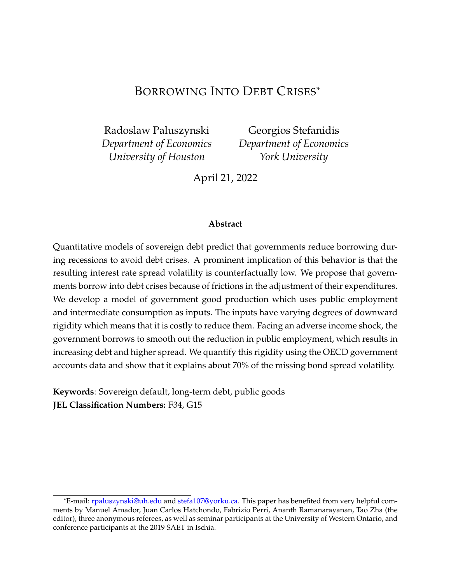# BORROWING INTO DEBT CRISES\*

Radoslaw Paluszynski *Department of Economics University of Houston*

Georgios Stefanidis *Department of Economics York University*

April 21, 2022

#### **Abstract**

Quantitative models of sovereign debt predict that governments reduce borrowing during recessions to avoid debt crises. A prominent implication of this behavior is that the resulting interest rate spread volatility is counterfactually low. We propose that governments borrow into debt crises because of frictions in the adjustment of their expenditures. We develop a model of government good production which uses public employment and intermediate consumption as inputs. The inputs have varying degrees of downward rigidity which means that it is costly to reduce them. Facing an adverse income shock, the government borrows to smooth out the reduction in public employment, which results in increasing debt and higher spread. We quantify this rigidity using the OECD government accounts data and show that it explains about 70% of the missing bond spread volatility.

**Keywords**: Sovereign default, long-term debt, public goods **JEL Classification Numbers:** F34, G15

<sup>\*</sup>E-mail: <rpaluszynski@uh.edu> and [stefa107@yorku.ca.](stefa107@yorku.ca) This paper has benefited from very helpful comments by Manuel Amador, Juan Carlos Hatchondo, Fabrizio Perri, Ananth Ramanarayanan, Tao Zha (the editor), three anonymous referees, as well as seminar participants at the University of Western Ontario, and conference participants at the 2019 SAET in Ischia.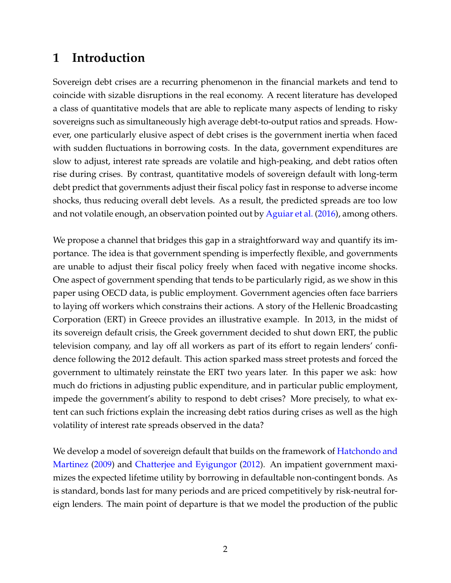# **1 Introduction**

Sovereign debt crises are a recurring phenomenon in the financial markets and tend to coincide with sizable disruptions in the real economy. A recent literature has developed a class of quantitative models that are able to replicate many aspects of lending to risky sovereigns such as simultaneously high average debt-to-output ratios and spreads. However, one particularly elusive aspect of debt crises is the government inertia when faced with sudden fluctuations in borrowing costs. In the data, government expenditures are slow to adjust, interest rate spreads are volatile and high-peaking, and debt ratios often rise during crises. By contrast, quantitative models of sovereign default with long-term debt predict that governments adjust their fiscal policy fast in response to adverse income shocks, thus reducing overall debt levels. As a result, the predicted spreads are too low and not volatile enough, an observation pointed out by [Aguiar et al.](#page-34-0) [\(2016\)](#page-34-0), among others.

We propose a channel that bridges this gap in a straightforward way and quantify its importance. The idea is that government spending is imperfectly flexible, and governments are unable to adjust their fiscal policy freely when faced with negative income shocks. One aspect of government spending that tends to be particularly rigid, as we show in this paper using OECD data, is public employment. Government agencies often face barriers to laying off workers which constrains their actions. A story of the Hellenic Broadcasting Corporation (ERT) in Greece provides an illustrative example. In 2013, in the midst of its sovereign default crisis, the Greek government decided to shut down ERT, the public television company, and lay off all workers as part of its effort to regain lenders' confidence following the 2012 default. This action sparked mass street protests and forced the government to ultimately reinstate the ERT two years later. In this paper we ask: how much do frictions in adjusting public expenditure, and in particular public employment, impede the government's ability to respond to debt crises? More precisely, to what extent can such frictions explain the increasing debt ratios during crises as well as the high volatility of interest rate spreads observed in the data?

We develop a model of sovereign default that builds on the framework of [Hatchondo and](#page-36-0) [Martinez](#page-36-0) [\(2009\)](#page-36-0) and [Chatterjee and Eyigungor](#page-35-0) [\(2012\)](#page-35-0). An impatient government maximizes the expected lifetime utility by borrowing in defaultable non-contingent bonds. As is standard, bonds last for many periods and are priced competitively by risk-neutral foreign lenders. The main point of departure is that we model the production of the public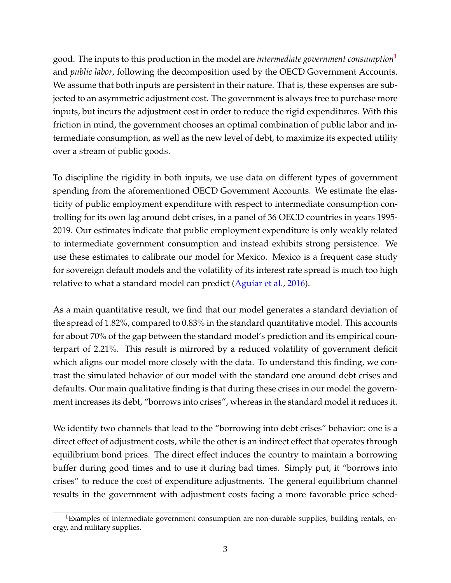good. The inputs to this production in the model are *intermediate government consumption*[1](#page-2-0) and *public labor*, following the decomposition used by the OECD Government Accounts. We assume that both inputs are persistent in their nature. That is, these expenses are subjected to an asymmetric adjustment cost. The government is always free to purchase more inputs, but incurs the adjustment cost in order to reduce the rigid expenditures. With this friction in mind, the government chooses an optimal combination of public labor and intermediate consumption, as well as the new level of debt, to maximize its expected utility over a stream of public goods.

To discipline the rigidity in both inputs, we use data on different types of government spending from the aforementioned OECD Government Accounts. We estimate the elasticity of public employment expenditure with respect to intermediate consumption controlling for its own lag around debt crises, in a panel of 36 OECD countries in years 1995- 2019. Our estimates indicate that public employment expenditure is only weakly related to intermediate government consumption and instead exhibits strong persistence. We use these estimates to calibrate our model for Mexico. Mexico is a frequent case study for sovereign default models and the volatility of its interest rate spread is much too high relative to what a standard model can predict [\(Aguiar et al.,](#page-34-0) [2016\)](#page-34-0).

As a main quantitative result, we find that our model generates a standard deviation of the spread of 1.82%, compared to 0.83% in the standard quantitative model. This accounts for about 70% of the gap between the standard model's prediction and its empirical counterpart of 2.21%. This result is mirrored by a reduced volatility of government deficit which aligns our model more closely with the data. To understand this finding, we contrast the simulated behavior of our model with the standard one around debt crises and defaults. Our main qualitative finding is that during these crises in our model the government increases its debt, "borrows into crises", whereas in the standard model it reduces it.

We identify two channels that lead to the "borrowing into debt crises" behavior: one is a direct effect of adjustment costs, while the other is an indirect effect that operates through equilibrium bond prices. The direct effect induces the country to maintain a borrowing buffer during good times and to use it during bad times. Simply put, it "borrows into crises" to reduce the cost of expenditure adjustments. The general equilibrium channel results in the government with adjustment costs facing a more favorable price sched-

<span id="page-2-0"></span> ${}^{1}$ Examples of intermediate government consumption are non-durable supplies, building rentals, energy, and military supplies.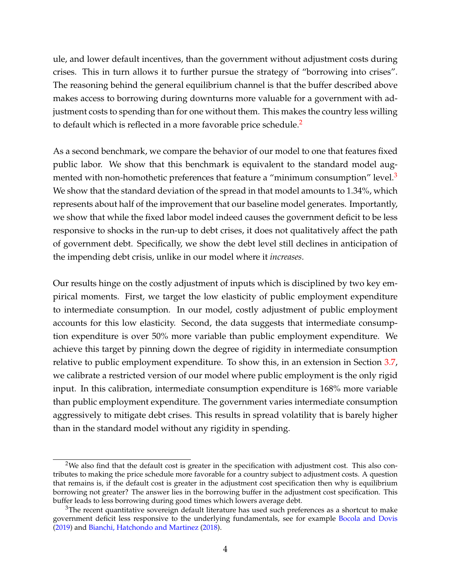ule, and lower default incentives, than the government without adjustment costs during crises. This in turn allows it to further pursue the strategy of "borrowing into crises". The reasoning behind the general equilibrium channel is that the buffer described above makes access to borrowing during downturns more valuable for a government with adjustment costs to spending than for one without them. This makes the country less willing to default which is reflected in a more favorable price schedule.<sup>[2](#page-3-0)</sup>

As a second benchmark, we compare the behavior of our model to one that features fixed public labor. We show that this benchmark is equivalent to the standard model aug-mented with non-homothetic preferences that feature a "minimum consumption" level.<sup>[3](#page-3-1)</sup> We show that the standard deviation of the spread in that model amounts to 1.34%, which represents about half of the improvement that our baseline model generates. Importantly, we show that while the fixed labor model indeed causes the government deficit to be less responsive to shocks in the run-up to debt crises, it does not qualitatively affect the path of government debt. Specifically, we show the debt level still declines in anticipation of the impending debt crisis, unlike in our model where it *increases*.

Our results hinge on the costly adjustment of inputs which is disciplined by two key empirical moments. First, we target the low elasticity of public employment expenditure to intermediate consumption. In our model, costly adjustment of public employment accounts for this low elasticity. Second, the data suggests that intermediate consumption expenditure is over 50% more variable than public employment expenditure. We achieve this target by pinning down the degree of rigidity in intermediate consumption relative to public employment expenditure. To show this, in an extension in Section [3.7,](#page-28-0) we calibrate a restricted version of our model where public employment is the only rigid input. In this calibration, intermediate consumption expenditure is 168% more variable than public employment expenditure. The government varies intermediate consumption aggressively to mitigate debt crises. This results in spread volatility that is barely higher than in the standard model without any rigidity in spending.

<span id="page-3-0"></span><sup>&</sup>lt;sup>2</sup>We also find that the default cost is greater in the specification with adjustment cost. This also contributes to making the price schedule more favorable for a country subject to adjustment costs. A question that remains is, if the default cost is greater in the adjustment cost specification then why is equilibrium borrowing not greater? The answer lies in the borrowing buffer in the adjustment cost specification. This buffer leads to less borrowing during good times which lowers average debt.

<span id="page-3-1"></span><sup>&</sup>lt;sup>3</sup>The recent quantitative sovereign default literature has used such preferences as a shortcut to make government deficit less responsive to the underlying fundamentals, see for example [Bocola and Dovis](#page-35-1) [\(2019\)](#page-35-1) and [Bianchi, Hatchondo and Martinez](#page-35-2) [\(2018\)](#page-35-2).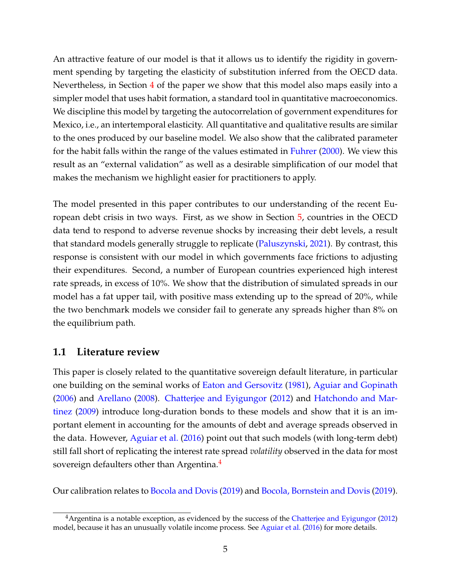An attractive feature of our model is that it allows us to identify the rigidity in government spending by targeting the elasticity of substitution inferred from the OECD data. Nevertheless, in Section [4](#page-30-0) of the paper we show that this model also maps easily into a simpler model that uses habit formation, a standard tool in quantitative macroeconomics. We discipline this model by targeting the autocorrelation of government expenditures for Mexico, i.e., an intertemporal elasticity. All quantitative and qualitative results are similar to the ones produced by our baseline model. We also show that the calibrated parameter for the habit falls within the range of the values estimated in [Fuhrer](#page-36-1) [\(2000\)](#page-36-1). We view this result as an "external validation" as well as a desirable simplification of our model that makes the mechanism we highlight easier for practitioners to apply.

The model presented in this paper contributes to our understanding of the recent European debt crisis in two ways. First, as we show in Section [5,](#page-32-0) countries in the OECD data tend to respond to adverse revenue shocks by increasing their debt levels, a result that standard models generally struggle to replicate [\(Paluszynski,](#page-36-2) [2021\)](#page-36-2). By contrast, this response is consistent with our model in which governments face frictions to adjusting their expenditures. Second, a number of European countries experienced high interest rate spreads, in excess of 10%. We show that the distribution of simulated spreads in our model has a fat upper tail, with positive mass extending up to the spread of 20%, while the two benchmark models we consider fail to generate any spreads higher than 8% on the equilibrium path.

### **1.1 Literature review**

This paper is closely related to the quantitative sovereign default literature, in particular one building on the seminal works of [Eaton and Gersovitz](#page-36-3) [\(1981\)](#page-36-3), [Aguiar and Gopinath](#page-35-3) [\(2006\)](#page-35-3) and [Arellano](#page-35-4) [\(2008\)](#page-35-4). [Chatterjee and Eyigungor](#page-35-0) [\(2012\)](#page-35-0) and [Hatchondo and Mar](#page-36-0)[tinez](#page-36-0) [\(2009\)](#page-36-0) introduce long-duration bonds to these models and show that it is an important element in accounting for the amounts of debt and average spreads observed in the data. However, [Aguiar et al.](#page-34-0) [\(2016\)](#page-34-0) point out that such models (with long-term debt) still fall short of replicating the interest rate spread *volatility* observed in the data for most sovereign defaulters other than Argentina.<sup>[4](#page-4-0)</sup>

Our calibration relates to [Bocola and Dovis](#page-35-1) [\(2019\)](#page-35-1) and [Bocola, Bornstein and Dovis](#page-35-5) [\(2019\)](#page-35-5).

<span id="page-4-0"></span> $4$ Argentina is a notable exception, as evidenced by the success of the [Chatterjee and Eyigungor](#page-35-0) [\(2012\)](#page-35-0) model, because it has an unusually volatile income process. See [Aguiar et al.](#page-34-0) [\(2016\)](#page-34-0) for more details.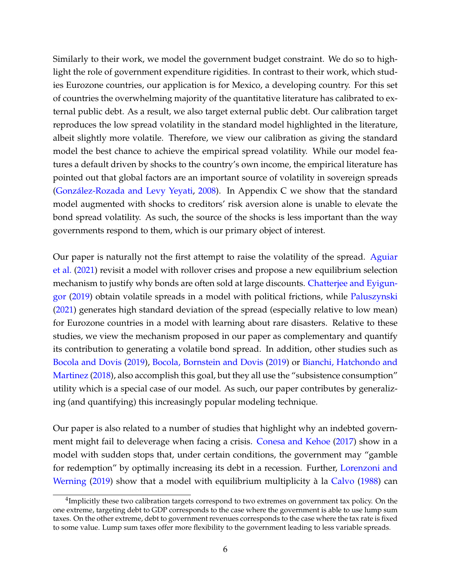Similarly to their work, we model the government budget constraint. We do so to highlight the role of government expenditure rigidities. In contrast to their work, which studies Eurozone countries, our application is for Mexico, a developing country. For this set of countries the overwhelming majority of the quantitative literature has calibrated to external public debt. As a result, we also target external public debt. Our calibration target reproduces the low spread volatility in the standard model highlighted in the literature, albeit slightly more volatile. Therefore, we view our calibration as giving the standard model the best chance to achieve the empirical spread volatility. While our model features a default driven by shocks to the country's own income, the empirical literature has pointed out that global factors are an important source of volatility in sovereign spreads [\(González-Rozada and Levy Yeyati,](#page-36-4) [2008\)](#page-36-4). In Appendix C we show that the standard model augmented with shocks to creditors' risk aversion alone is unable to elevate the bond spread volatility. As such, the source of the shocks is less important than the way governments respond to them, which is our primary object of interest.

Our paper is naturally not the first attempt to raise the volatility of the spread. [Aguiar](#page-35-6) [et al.](#page-35-6) [\(2021\)](#page-35-6) revisit a model with rollover crises and propose a new equilibrium selection mechanism to justify why bonds are often sold at large discounts. [Chatterjee and Eyigun](#page-35-7)[gor](#page-35-7) [\(2019\)](#page-35-7) obtain volatile spreads in a model with political frictions, while [Paluszynski](#page-36-2) [\(2021\)](#page-36-2) generates high standard deviation of the spread (especially relative to low mean) for Eurozone countries in a model with learning about rare disasters. Relative to these studies, we view the mechanism proposed in our paper as complementary and quantify its contribution to generating a volatile bond spread. In addition, other studies such as [Bocola and Dovis](#page-35-1) [\(2019\)](#page-35-1), [Bocola, Bornstein and Dovis](#page-35-5) [\(2019\)](#page-35-5) or [Bianchi, Hatchondo and](#page-35-2) [Martinez](#page-35-2) [\(2018\)](#page-35-2), also accomplish this goal, but they all use the "subsistence consumption" utility which is a special case of our model. As such, our paper contributes by generalizing (and quantifying) this increasingly popular modeling technique.

Our paper is also related to a number of studies that highlight why an indebted government might fail to deleverage when facing a crisis. [Conesa and Kehoe](#page-35-8) [\(2017\)](#page-35-8) show in a model with sudden stops that, under certain conditions, the government may "gamble for redemption" by optimally increasing its debt in a recession. Further, [Lorenzoni and](#page-36-5) [Werning](#page-36-5) [\(2019\)](#page-36-5) show that a model with equilibrium multiplicity à la [Calvo](#page-35-9) [\(1988\)](#page-35-9) can

<sup>&</sup>lt;sup>4</sup>Implicitly these two calibration targets correspond to two extremes on government tax policy. On the one extreme, targeting debt to GDP corresponds to the case where the government is able to use lump sum taxes. On the other extreme, debt to government revenues corresponds to the case where the tax rate is fixed to some value. Lump sum taxes offer more flexibility to the government leading to less variable spreads.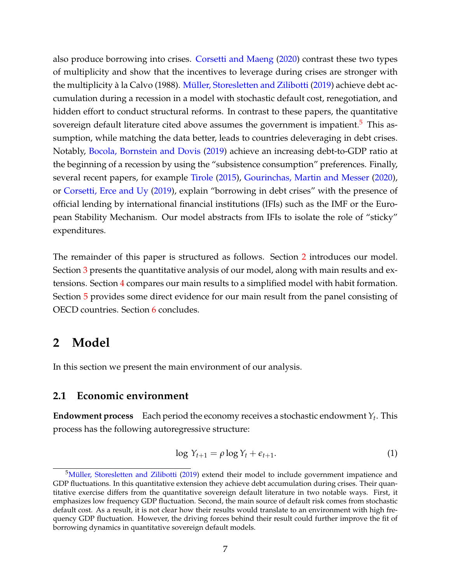also produce borrowing into crises. [Corsetti and Maeng](#page-35-10) [\(2020\)](#page-35-10) contrast these two types of multiplicity and show that the incentives to leverage during crises are stronger with the multiplicity à la Calvo (1988). [Müller, Storesletten and Zilibotti](#page-36-6) [\(2019\)](#page-36-6) achieve debt accumulation during a recession in a model with stochastic default cost, renegotiation, and hidden effort to conduct structural reforms. In contrast to these papers, the quantitative sovereign default literature cited above assumes the government is impatient.<sup>[5](#page-6-0)</sup> This assumption, while matching the data better, leads to countries deleveraging in debt crises. Notably, [Bocola, Bornstein and Dovis](#page-35-5) [\(2019\)](#page-35-5) achieve an increasing debt-to-GDP ratio at the beginning of a recession by using the "subsistence consumption" preferences. Finally, several recent papers, for example [Tirole](#page-36-7) [\(2015\)](#page-36-7), [Gourinchas, Martin and Messer](#page-36-8) [\(2020\)](#page-36-8), or [Corsetti, Erce and Uy](#page-35-11) [\(2019\)](#page-35-11), explain "borrowing in debt crises" with the presence of official lending by international financial institutions (IFIs) such as the IMF or the European Stability Mechanism. Our model abstracts from IFIs to isolate the role of "sticky" expenditures.

The remainder of this paper is structured as follows. Section [2](#page-6-1) introduces our model. Section [3](#page-10-0) presents the quantitative analysis of our model, along with main results and extensions. Section [4](#page-30-0) compares our main results to a simplified model with habit formation. Section [5](#page-32-0) provides some direct evidence for our main result from the panel consisting of OECD countries. Section [6](#page-33-0) concludes.

# <span id="page-6-1"></span>**2 Model**

In this section we present the main environment of our analysis.

### **2.1 Economic environment**

**Endowment process** Each period the economy receives a stochastic endowment  $Y_t$ . This process has the following autoregressive structure:

$$
\log Y_{t+1} = \rho \log Y_t + \epsilon_{t+1}.\tag{1}
$$

<span id="page-6-0"></span><sup>&</sup>lt;sup>5</sup>[Müller, Storesletten and Zilibotti](#page-36-6) [\(2019\)](#page-36-6) extend their model to include government impatience and GDP fluctuations. In this quantitative extension they achieve debt accumulation during crises. Their quantitative exercise differs from the quantitative sovereign default literature in two notable ways. First, it emphasizes low frequency GDP fluctuation. Second, the main source of default risk comes from stochastic default cost. As a result, it is not clear how their results would translate to an environment with high frequency GDP fluctuation. However, the driving forces behind their result could further improve the fit of borrowing dynamics in quantitative sovereign default models.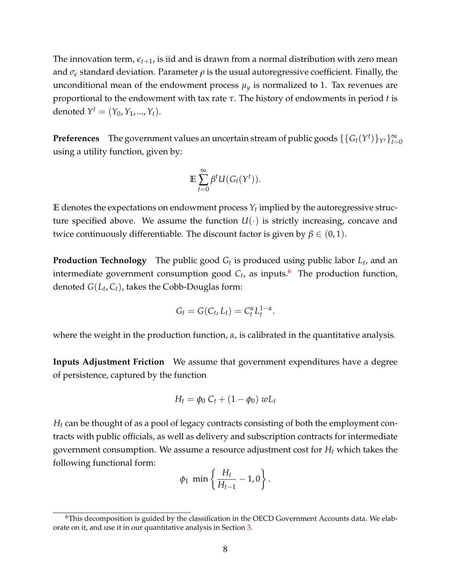The innovation term,  $\epsilon_{t+1}$ , is iid and is drawn from a normal distribution with zero mean and  $\sigma_{\epsilon}$  standard deviation. Parameter  $\rho$  is the usual autoregressive coefficient. Finally, the unconditional mean of the endowment process  $\mu_y$  is normalized to 1. Tax revenues are proportional to the endowment with tax rate *τ*. The history of endowments in period *t* is denoted  $Y^t = (Y_0, Y_1, ..., Y_t)$ .

**Preferences** The government values an uncertain stream of public goods  $\{\{G_t(Y^t)\}_{Y^t}\}_{t=0}^{\infty}$ using a utility function, given by:

$$
\mathbb{E}\sum_{t=0}^{\infty}\beta^tU(G_t(Y^t)).
$$

 ${\bf E}$  denotes the expectations on endowment process  $Y_t$  implied by the autoregressive structure specified above. We assume the function  $U(\cdot)$  is strictly increasing, concave and twice continuously differentiable. The discount factor is given by  $\beta \in (0,1)$ .

**Production Technology** The public good *G<sup>t</sup>* is produced using public labor *L<sup>t</sup>* , and an intermediate government consumption good *C<sup>t</sup>* , as inputs.[6](#page-7-0) The production function, denoted *G*(*L<sup>t</sup>* , *Ct*), takes the Cobb-Douglas form:

$$
G_t = G(C_t, L_t) = C_t^{\alpha} L_t^{1-\alpha}.
$$

where the weight in the production function, *α*, is calibrated in the quantitative analysis.

**Inputs Adjustment Friction** We assume that government expenditures have a degree of persistence, captured by the function

$$
H_t = \phi_0 C_t + (1 - \phi_0) w L_t
$$

*H<sup>t</sup>* can be thought of as a pool of legacy contracts consisting of both the employment contracts with public officials, as well as delivery and subscription contracts for intermediate government consumption. We assume a resource adjustment cost for *H<sup>t</sup>* which takes the following functional form:

$$
\phi_1 \min \left\{ \frac{H_t}{H_{t-1}} - 1, 0 \right\}.
$$

<span id="page-7-0"></span><sup>6</sup>This decomposition is guided by the classification in the OECD Government Accounts data. We elaborate on it, and use it in our quantitative analysis in Section [3.](#page-10-0)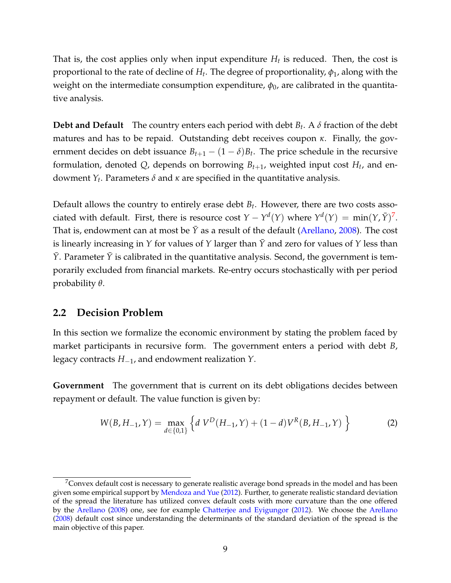That is, the cost applies only when input expenditure  $H_t$  is reduced. Then, the cost is proportional to the rate of decline of *H<sup>t</sup>* . The degree of proportionality, *φ*1, along with the weight on the intermediate consumption expenditure,  $\phi_0$ , are calibrated in the quantitative analysis.

**Debt and Default** The country enters each period with debt *B<sup>t</sup>* . A *δ* fraction of the debt matures and has to be repaid. Outstanding debt receives coupon *κ*. Finally, the government decides on debt issuance  $B_{t+1} - (1 - \delta)B_t$ . The price schedule in the recursive formulation, denoted  $Q$ , depends on borrowing  $B_{t+1}$ , weighted input cost  $H_t$ , and endowment *Y<sup>t</sup>* . Parameters *δ* and *κ* are specified in the quantitative analysis.

Default allows the country to entirely erase debt *B<sup>t</sup>* . However, there are two costs associated with default. First, there is resource cost  $Y - Y^d(Y)$  where  $Y^d(Y) = \min(Y, \bar{Y})^7$  $Y^d(Y) = \min(Y, \bar{Y})^7$ . That is, endowment can at most be  $\bar{Y}$  as a result of the default [\(Arellano,](#page-35-4) [2008\)](#page-35-4). The cost is linearly increasing in *Y* for values of *Y* larger than  $\bar{Y}$  and zero for values of *Y* less than  $\bar{Y}$ . Parameter  $\bar{Y}$  is calibrated in the quantitative analysis. Second, the government is temporarily excluded from financial markets. Re-entry occurs stochastically with per period probability *θ*.

#### **2.2 Decision Problem**

In this section we formalize the economic environment by stating the problem faced by market participants in recursive form. The government enters a period with debt *B*, legacy contracts *H*−1, and endowment realization *Y*.

**Government** The government that is current on its debt obligations decides between repayment or default. The value function is given by:

$$
W(B, H_{-1}, Y) = \max_{d \in \{0, 1\}} \left\{ d \ V^D(H_{-1}, Y) + (1 - d) V^R(B, H_{-1}, Y) \right\}
$$
 (2)

<span id="page-8-0"></span> $7$ Convex default cost is necessary to generate realistic average bond spreads in the model and has been given some empirical support by [Mendoza and Yue](#page-36-9) [\(2012\)](#page-36-9). Further, to generate realistic standard deviation of the spread the literature has utilized convex default costs with more curvature than the one offered by the [Arellano](#page-35-4) [\(2008\)](#page-35-4) one, see for example [Chatterjee and Eyigungor](#page-35-0) [\(2012\)](#page-35-0). We choose the [Arellano](#page-35-4) [\(2008\)](#page-35-4) default cost since understanding the determinants of the standard deviation of the spread is the main objective of this paper.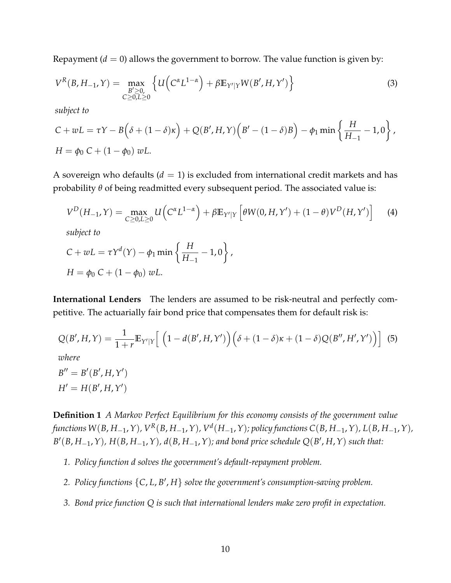Repayment  $(d = 0)$  allows the government to borrow. The value function is given by:

$$
V^{R}(B, H_{-1}, Y) = \max_{\substack{B' \ge 0, \\ C \ge 0, L \ge 0}} \left\{ U\left(C^{\alpha} L^{1-\alpha}\right) + \beta \mathbb{E}_{Y'|Y} W(B', H, Y')\right\}
$$
(3)

*subject to*

$$
C + wL = \tau Y - B(\delta + (1 - \delta)\kappa) + Q(B', H, Y)(B' - (1 - \delta)B) - \phi_1 \min \left\{ \frac{H}{H_{-1}} - 1, 0 \right\},\newline H = \phi_0 C + (1 - \phi_0) wL.
$$

A sovereign who defaults  $(d = 1)$  is excluded from international credit markets and has probability *θ* of being readmitted every subsequent period. The associated value is:

$$
V^{D}(H_{-1}, Y) = \max_{C \ge 0, L \ge 0} U\left(C^{\alpha} L^{1-\alpha}\right) + \beta \mathbb{E}_{Y'|Y}\left[\theta W(0, H, Y') + (1-\theta)V^{D}(H, Y')\right]
$$
(4)

*subject to*

$$
C + wL = \tau Y^{d}(Y) - \phi_1 \min \left\{ \frac{H}{H_{-1}} - 1, 0 \right\},\,
$$
  

$$
H = \phi_0 C + (1 - \phi_0) wL.
$$

**International Lenders** The lenders are assumed to be risk-neutral and perfectly competitive. The actuarially fair bond price that compensates them for default risk is:

$$
Q(B', H, Y) = \frac{1}{1+r} \mathbb{E}_{Y'|Y} \Big[ \left( 1 - d(B', H, Y') \right) \left( \delta + (1 - \delta)\kappa + (1 - \delta)Q(B'', H', Y') \right) \Big] \tag{5}
$$
  
where  

$$
B'' = B'(B', H, Y')
$$

 $H' = H(B', H, Y')$ 

**Definition 1** *A Markov Perfect Equilibrium for this economy consists of the government value* functions W(B, H\_<sub>1</sub>, Y), V<sup>R</sup>(B, H\_<sub>1</sub>, Y), V<sup>d</sup>(H\_<sub>1</sub>, Y); policy functions C(B, H\_<sub>1</sub>, Y), L(B, H\_<sub>1</sub>, Y),  $B'(B, H_{-1}, Y)$ ,  $H(B, H_{-1}, Y)$ ,  $d(B, H_{-1}, Y)$ ; and bond price schedule  $Q(B', H, Y)$  such that:

- *1. Policy function d solves the government's default-repayment problem.*
- 2. Policy functions  $\{C, L, B', H\}$  solve the government's consumption-saving problem.
- *3. Bond price function Q is such that international lenders make zero profit in expectation.*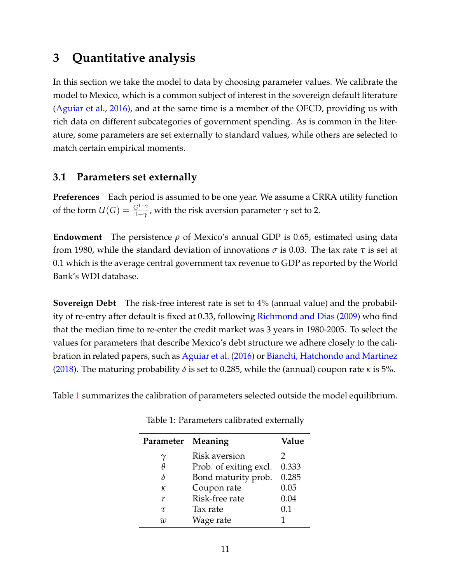# <span id="page-10-0"></span>**3 Quantitative analysis**

In this section we take the model to data by choosing parameter values. We calibrate the model to Mexico, which is a common subject of interest in the sovereign default literature [\(Aguiar et al.,](#page-34-0) [2016\)](#page-34-0), and at the same time is a member of the OECD, providing us with rich data on different subcategories of government spending. As is common in the literature, some parameters are set externally to standard values, while others are selected to match certain empirical moments.

## **3.1 Parameters set externally**

**Preferences** Each period is assumed to be one year. We assume a CRRA utility function of the form  $U(G) = \frac{G^{1-\gamma}}{1-\gamma}$  $\frac{G^2}{1-\gamma}$ , with the risk aversion parameter  $\gamma$  set to 2.

**Endowment** The persistence *ρ* of Mexico's annual GDP is 0.65, estimated using data from 1980, while the standard deviation of innovations *σ* is 0.03. The tax rate *τ* is set at 0.1 which is the average central government tax revenue to GDP as reported by the World Bank's WDI database.

**Sovereign Debt** The risk-free interest rate is set to 4% (annual value) and the probabil-ity of re-entry after default is fixed at 0.33, following [Richmond and Dias](#page-36-10) [\(2009\)](#page-36-10) who find that the median time to re-enter the credit market was 3 years in 1980-2005. To select the values for parameters that describe Mexico's debt structure we adhere closely to the calibration in related papers, such as [Aguiar et al.](#page-34-0) [\(2016\)](#page-34-0) or [Bianchi, Hatchondo and Martinez](#page-35-2) [\(2018\)](#page-35-2). The maturing probability *δ* is set to 0.285, while the (annual) coupon rate *κ* is 5%.

<span id="page-10-1"></span>Table [1](#page-10-1) summarizes the calibration of parameters selected outside the model equilibrium.

| Parameter Meaning |                        | Value |
|-------------------|------------------------|-------|
| $\gamma$          | Risk aversion          | 2     |
| Η                 | Prob. of exiting excl. | 0.333 |
| δ                 | Bond maturity prob.    | 0.285 |
| κ                 | Coupon rate            | 0.05  |
| r                 | Risk-free rate         | 0.04  |
| $\tau$            | Tax rate               | 0.1   |
| 712               | Wage rate              |       |

Table 1: Parameters calibrated externally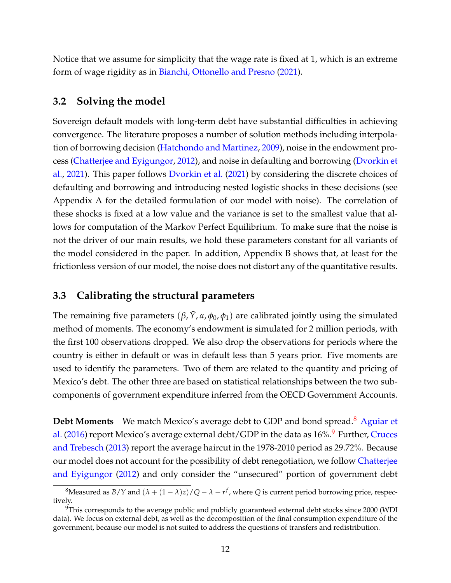Notice that we assume for simplicity that the wage rate is fixed at 1, which is an extreme form of wage rigidity as in [Bianchi, Ottonello and Presno](#page-35-12) [\(2021\)](#page-35-12).

#### **3.2 Solving the model**

Sovereign default models with long-term debt have substantial difficulties in achieving convergence. The literature proposes a number of solution methods including interpolation of borrowing decision [\(Hatchondo and Martinez,](#page-36-0) [2009\)](#page-36-0), noise in the endowment process [\(Chatterjee and Eyigungor,](#page-35-0) [2012\)](#page-35-0), and noise in defaulting and borrowing [\(Dvorkin et](#page-36-11) [al.,](#page-36-11) [2021\)](#page-36-11). This paper follows [Dvorkin et al.](#page-36-11) [\(2021\)](#page-36-11) by considering the discrete choices of defaulting and borrowing and introducing nested logistic shocks in these decisions (see Appendix A for the detailed formulation of our model with noise). The correlation of these shocks is fixed at a low value and the variance is set to the smallest value that allows for computation of the Markov Perfect Equilibrium. To make sure that the noise is not the driver of our main results, we hold these parameters constant for all variants of the model considered in the paper. In addition, Appendix B shows that, at least for the frictionless version of our model, the noise does not distort any of the quantitative results.

### **3.3 Calibrating the structural parameters**

The remaining five parameters  $(\beta, \bar{Y}, \alpha, \phi_0, \phi_1)$  are calibrated jointly using the simulated method of moments. The economy's endowment is simulated for 2 million periods, with the first 100 observations dropped. We also drop the observations for periods where the country is either in default or was in default less than 5 years prior. Five moments are used to identify the parameters. Two of them are related to the quantity and pricing of Mexico's debt. The other three are based on statistical relationships between the two subcomponents of government expenditure inferred from the OECD Government Accounts.

**Debt Moments** We match Mexico's average debt to GDP and bond spread.<sup>[8](#page-11-0)</sup> [Aguiar et](#page-34-0) [al.](#page-34-0) [\(2016\)](#page-34-0) report Mexico's average external debt/GDP in the data as  $16\%$ . Further, [Cruces](#page-36-12) [and Trebesch](#page-36-12) [\(2013\)](#page-36-12) report the average haircut in the 1978-2010 period as 29.72%. Because our model does not account for the possibility of debt renegotiation, we follow [Chatterjee](#page-35-0) [and Eyigungor](#page-35-0) [\(2012\)](#page-35-0) and only consider the "unsecured" portion of government debt

<span id="page-11-0"></span> ${}^8$ Measured as *B*/*Y* and  $(\lambda + (1 - \lambda)z)/Q - \lambda - r^f$ , where *Q* is current period borrowing price, respectively.

<span id="page-11-1"></span> $9$ This corresponds to the average public and publicly guaranteed external debt stocks since 2000 (WDI data). We focus on external debt, as well as the decomposition of the final consumption expenditure of the government, because our model is not suited to address the questions of transfers and redistribution.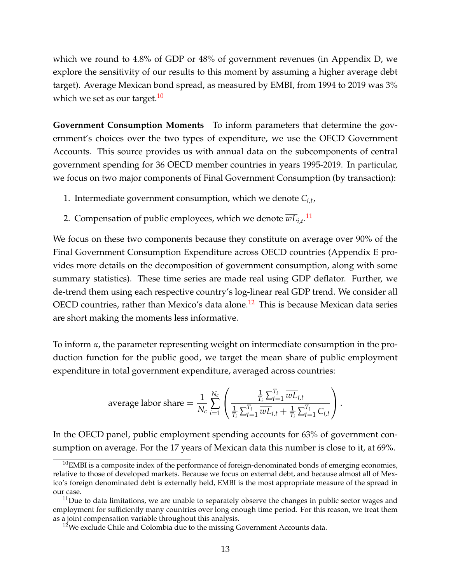which we round to 4.8% of GDP or 48% of government revenues (in Appendix D, we explore the sensitivity of our results to this moment by assuming a higher average debt target). Average Mexican bond spread, as measured by EMBI, from 1994 to 2019 was 3% which we set as our target.<sup>[10](#page-12-0)</sup>

**Government Consumption Moments** To inform parameters that determine the government's choices over the two types of expenditure, we use the OECD Government Accounts. This source provides us with annual data on the subcomponents of central government spending for 36 OECD member countries in years 1995-2019. In particular, we focus on two major components of Final Government Consumption (by transaction):

- 1. Intermediate government consumption, which we denote *Ci*,*<sup>t</sup>* ,
- 2. Compensation of public employees, which we denote  $\overline{wL}_{i,t}$ .<sup>[11](#page-12-1)</sup>

We focus on these two components because they constitute on average over 90% of the Final Government Consumption Expenditure across OECD countries (Appendix E provides more details on the decomposition of government consumption, along with some summary statistics). These time series are made real using GDP deflator. Further, we de-trend them using each respective country's log-linear real GDP trend. We consider all OECD countries, rather than Mexico's data alone.<sup>[12](#page-12-2)</sup> This is because Mexican data series are short making the moments less informative.

To inform *α*, the parameter representing weight on intermediate consumption in the production function for the public good, we target the mean share of public employment expenditure in total government expenditure, averaged across countries:

average labor share 
$$
= \frac{1}{N_c} \sum_{i=1}^{N_c} \left( \frac{\frac{1}{T_i} \sum_{t=1}^{T_i} \overline{w} \overline{L}_{i,t}}{\frac{1}{T_i} \sum_{t=1}^{T_i} \overline{w} \overline{L}_{i,t} + \frac{1}{T_i} \sum_{t=1}^{T_i} C_{i,t}} \right).
$$

In the OECD panel, public employment spending accounts for 63% of government consumption on average. For the 17 years of Mexican data this number is close to it, at 69%.

<span id="page-12-0"></span> $10$ EMBI is a composite index of the performance of foreign-denominated bonds of emerging economies, relative to those of developed markets. Because we focus on external debt, and because almost all of Mexico's foreign denominated debt is externally held, EMBI is the most appropriate measure of the spread in our case.

<span id="page-12-1"></span> $11$ Due to data limitations, we are unable to separately observe the changes in public sector wages and employment for sufficiently many countries over long enough time period. For this reason, we treat them as a joint compensation variable throughout this analysis.

<span id="page-12-2"></span> $12$ We exclude Chile and Colombia due to the missing Government Accounts data.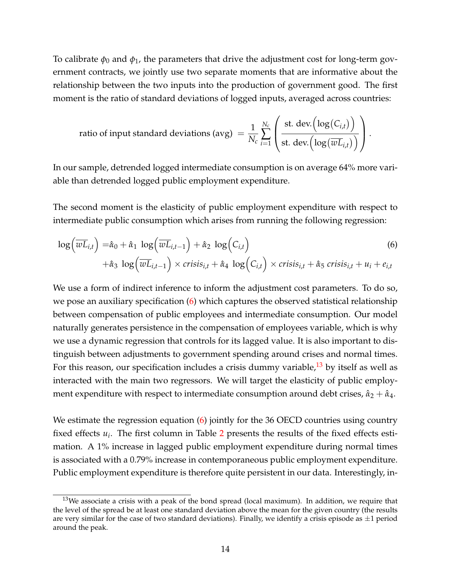To calibrate  $\phi_0$  and  $\phi_1$ , the parameters that drive the adjustment cost for long-term government contracts, we jointly use two separate moments that are informative about the relationship between the two inputs into the production of government good. The first moment is the ratio of standard deviations of logged inputs, averaged across countries:

<span id="page-13-0"></span>ratio of input standard deviations (avg) 
$$
= \frac{1}{N_c} \sum_{i=1}^{N_c} \left( \frac{\text{st. dev.} \left( \log(C_{i,t}) \right)}{\text{st. dev.} \left( \log(\overline{wL}_{i,t}) \right)} \right).
$$

In our sample, detrended logged intermediate consumption is on average 64% more variable than detrended logged public employment expenditure.

The second moment is the elasticity of public employment expenditure with respect to intermediate public consumption which arises from running the following regression:

$$
\log\left(\overline{wL}_{i,t}\right) = \hat{\alpha}_0 + \hat{\alpha}_1 \log\left(\overline{wL}_{i,t-1}\right) + \hat{\alpha}_2 \log\left(C_{i,t}\right)
$$
  
+
$$
\hat{\alpha}_3 \log\left(\overline{wL}_{i,t-1}\right) \times crisis_{i,t} + \hat{\alpha}_4 \log\left(C_{i,t}\right) \times crisis_{i,t} + \hat{\alpha}_5 crisis_{i,t} + u_i + e_{i,t}
$$
 (6)

We use a form of indirect inference to inform the adjustment cost parameters. To do so, we pose an auxiliary specification [\(6\)](#page-13-0) which captures the observed statistical relationship between compensation of public employees and intermediate consumption. Our model naturally generates persistence in the compensation of employees variable, which is why we use a dynamic regression that controls for its lagged value. It is also important to distinguish between adjustments to government spending around crises and normal times. For this reason, our specification includes a crisis dummy variable,  $^{13}$  $^{13}$  $^{13}$  by itself as well as interacted with the main two regressors. We will target the elasticity of public employment expenditure with respect to intermediate consumption around debt crises,  $\hat{\alpha}_2 + \hat{\alpha}_4$ .

We estimate the regression equation [\(6\)](#page-13-0) jointly for the 36 OECD countries using country fixed effects *u<sup>i</sup>* . The first column in Table [2](#page-14-0) presents the results of the fixed effects estimation. A 1% increase in lagged public employment expenditure during normal times is associated with a 0.79% increase in contemporaneous public employment expenditure. Public employment expenditure is therefore quite persistent in our data. Interestingly, in-

<span id="page-13-1"></span> $13$ We associate a crisis with a peak of the bond spread (local maximum). In addition, we require that the level of the spread be at least one standard deviation above the mean for the given country (the results are very similar for the case of two standard deviations). Finally, we identify a crisis episode as  $\pm 1$  period around the peak.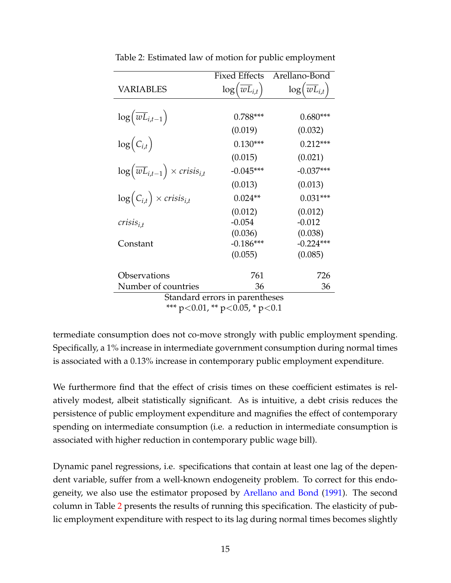|                                                               | <b>Fixed Effects</b>                   | Arellano-Bond                           |
|---------------------------------------------------------------|----------------------------------------|-----------------------------------------|
| VARIABLES                                                     | $\log(\overline{wL}_{i,t})$            | $\log \left(\overline{wL}_{i,t}\right)$ |
|                                                               |                                        |                                         |
| $\log\left(\overline{wL}_{i,t-1}\right)$                      | $0.788***$                             | $0.680***$                              |
|                                                               | (0.019)                                | (0.032)                                 |
| $\log(C_{i,t})$                                               | $0.130***$                             | $0.212***$                              |
|                                                               | (0.015)                                | (0.021)                                 |
| $\log \left(\overline{wL}_{i,t-1}\right) \times crisis_{i,t}$ | $-0.045***$                            | $-0.037***$                             |
|                                                               | (0.013)                                | (0.013)                                 |
| $\log(C_{i,t}) \times crisis_{i,t}$                           | $0.024**$                              | $0.031***$                              |
|                                                               | (0.012)                                | (0.012)                                 |
| $crisis_{i,t}$                                                | $-0.054$                               | $-0.012$                                |
|                                                               | (0.036)                                | (0.038)                                 |
| Constant                                                      | $-0.186***$                            | $-0.224***$                             |
|                                                               | (0.055)                                | (0.085)                                 |
| Observations                                                  | 761                                    | 726                                     |
| Number of countries                                           | 36                                     | 36                                      |
|                                                               | Standard errors in parentheses         |                                         |
|                                                               | *** $p<0.01$ , ** $p<0.05$ , * $p<0.1$ |                                         |

<span id="page-14-0"></span>Table 2: Estimated law of motion for public employment

termediate consumption does not co-move strongly with public employment spending. Specifically, a 1% increase in intermediate government consumption during normal times is associated with a 0.13% increase in contemporary public employment expenditure.

We furthermore find that the effect of crisis times on these coefficient estimates is relatively modest, albeit statistically significant. As is intuitive, a debt crisis reduces the persistence of public employment expenditure and magnifies the effect of contemporary spending on intermediate consumption (i.e. a reduction in intermediate consumption is associated with higher reduction in contemporary public wage bill).

Dynamic panel regressions, i.e. specifications that contain at least one lag of the dependent variable, suffer from a well-known endogeneity problem. To correct for this endogeneity, we also use the estimator proposed by [Arellano and Bond](#page-35-13) [\(1991\)](#page-35-13). The second column in Table [2](#page-14-0) presents the results of running this specification. The elasticity of public employment expenditure with respect to its lag during normal times becomes slightly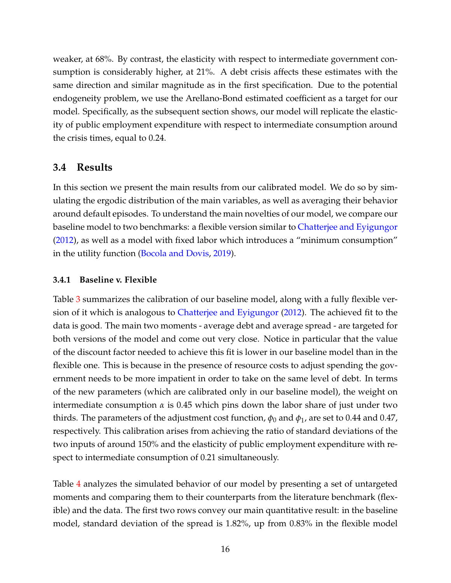weaker, at 68%. By contrast, the elasticity with respect to intermediate government consumption is considerably higher, at 21%. A debt crisis affects these estimates with the same direction and similar magnitude as in the first specification. Due to the potential endogeneity problem, we use the Arellano-Bond estimated coefficient as a target for our model. Specifically, as the subsequent section shows, our model will replicate the elasticity of public employment expenditure with respect to intermediate consumption around the crisis times, equal to 0.24.

## <span id="page-15-1"></span>**3.4 Results**

In this section we present the main results from our calibrated model. We do so by simulating the ergodic distribution of the main variables, as well as averaging their behavior around default episodes. To understand the main novelties of our model, we compare our baseline model to two benchmarks: a flexible version similar to [Chatterjee and Eyigungor](#page-35-0) [\(2012\)](#page-35-0), as well as a model with fixed labor which introduces a "minimum consumption" in the utility function [\(Bocola and Dovis,](#page-35-1) [2019\)](#page-35-1).

### <span id="page-15-0"></span>**3.4.1 Baseline v. Flexible**

Table [3](#page-16-0) summarizes the calibration of our baseline model, along with a fully flexible version of it which is analogous to [Chatterjee and Eyigungor](#page-35-0) [\(2012\)](#page-35-0). The achieved fit to the data is good. The main two moments - average debt and average spread - are targeted for both versions of the model and come out very close. Notice in particular that the value of the discount factor needed to achieve this fit is lower in our baseline model than in the flexible one. This is because in the presence of resource costs to adjust spending the government needs to be more impatient in order to take on the same level of debt. In terms of the new parameters (which are calibrated only in our baseline model), the weight on intermediate consumption  $\alpha$  is 0.45 which pins down the labor share of just under two thirds. The parameters of the adjustment cost function,  $\phi_0$  and  $\phi_1$ , are set to 0.44 and 0.47, respectively. This calibration arises from achieving the ratio of standard deviations of the two inputs of around 150% and the elasticity of public employment expenditure with respect to intermediate consumption of 0.21 simultaneously.

Table [4](#page-16-1) analyzes the simulated behavior of our model by presenting a set of untargeted moments and comparing them to their counterparts from the literature benchmark (flexible) and the data. The first two rows convey our main quantitative result: in the baseline model, standard deviation of the spread is 1.82%, up from 0.83% in the flexible model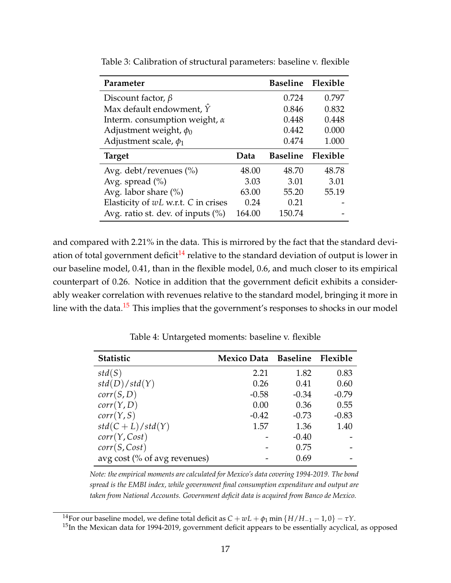| Parameter                            |        | <b>Baseline</b> | Flexible |
|--------------------------------------|--------|-----------------|----------|
| Discount factor, $\beta$             |        | 0.724           | 0.797    |
| Max default endowment, $\hat{Y}$     |        | 0.846           | 0.832    |
| Interm. consumption weight, $\alpha$ |        | 0.448           | 0.448    |
| Adjustment weight, $\phi_0$          |        | 0.442           | 0.000    |
| Adjustment scale, $\phi_1$           |        | 0.474           | 1.000    |
| <b>Target</b>                        | Data   | <b>Baseline</b> | Flexible |
| Avg. debt/revenues $(\% )$           | 48.00  | 48.70           | 48.78    |
| Avg. spread $(\% )$                  | 3.03   | 3.01            | 3.01     |
| Avg. labor share $(\%)$              | 63.00  | 55.20           | 55.19    |
| Elasticity of wL w.r.t. C in crises  | 0.24   | 0.21            |          |
| Avg. ratio st. dev. of inputs $(\%)$ | 164.00 | 150.74          |          |

<span id="page-16-0"></span>Table 3: Calibration of structural parameters: baseline v. flexible

and compared with 2.21% in the data. This is mirrored by the fact that the standard deviation of total government deficit $14$  relative to the standard deviation of output is lower in our baseline model, 0.41, than in the flexible model, 0.6, and much closer to its empirical counterpart of 0.26. Notice in addition that the government deficit exhibits a considerably weaker correlation with revenues relative to the standard model, bringing it more in line with the data.<sup>[15](#page-16-3)</sup> This implies that the government's responses to shocks in our model

<span id="page-16-1"></span>

| <b>Statistic</b>             | Mexico Data Baseline Flexible |         |         |
|------------------------------|-------------------------------|---------|---------|
| std(S)                       | 2.21                          | 1.82    | 0.83    |
| std(D)/std(Y)                | 0.26                          | 0.41    | 0.60    |
| corr(S, D)                   | $-0.58$                       | $-0.34$ | $-0.79$ |
| corr(Y, D)                   | 0.00                          | 0.36    | 0.55    |
| corr(Y, S)                   | $-0.42$                       | $-0.73$ | $-0.83$ |
| $std(C+L)/std(Y)$            | 1.57                          | 1.36    | 1.40    |
| corr(Y, Cost)                |                               | $-0.40$ |         |
| corr(S, Cost)                |                               | 0.75    |         |
| avg cost (% of avg revenues) |                               | 0.69    |         |

Table 4: Untargeted moments: baseline v. flexible

*Note: the empirical moments are calculated for Mexico's data covering 1994-2019. The bond spread is the EMBI index, while government final consumption expenditure and output are taken from National Accounts. Government deficit data is acquired from Banco de Mexico.*

<span id="page-16-2"></span><sup>&</sup>lt;sup>14</sup>For our baseline model, we define total deficit as  $C + wL + \phi_1$  min { $H/H_{-1} - 1$ , 0}  $-\tau Y$ .

<span id="page-16-3"></span> $15$ In the Mexican data for 1994-2019, government deficit appears to be essentially acyclical, as opposed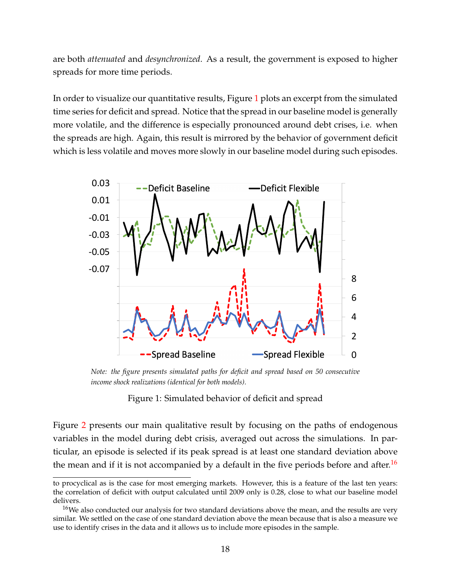are both *attenuated* and *desynchronized*. As a result, the government is exposed to higher spreads for more time periods.

In order to visualize our quantitative results, Figure [1](#page-17-0) plots an excerpt from the simulated time series for deficit and spread. Notice that the spread in our baseline model is generally more volatile, and the difference is especially pronounced around debt crises, i.e. when the spreads are high. Again, this result is mirrored by the behavior of government deficit which is less volatile and moves more slowly in our baseline model during such episodes.

<span id="page-17-0"></span>

.<br>Note: the figure presents simulated paths for deficit and spread based on 50 consecutive *income shock realizations (identical for both models).*

Figure 1: Simulated behavior of deficit and spread

Figure [2](#page-19-0) presents our main qualitative result by focusing on the paths of endogenous variables in the model during debt crisis, averaged out across the simulations. In particular, an episode is selected if its peak spread is at least one standard deviation above the mean and if it is not accompanied by a default in the five periods before and after.<sup>[16](#page-17-1)</sup>

to procyclical as is the case for most emerging markets. However, this is a feature of the last ten years: the correlation of deficit with output calculated until 2009 only is 0.28, close to what our baseline model delivers.

<span id="page-17-1"></span> $16$ We also conducted our analysis for two standard deviations above the mean, and the results are very similar. We settled on the case of one standard deviation above the mean because that is also a measure we use to identify crises in the data and it allows us to include more episodes in the sample.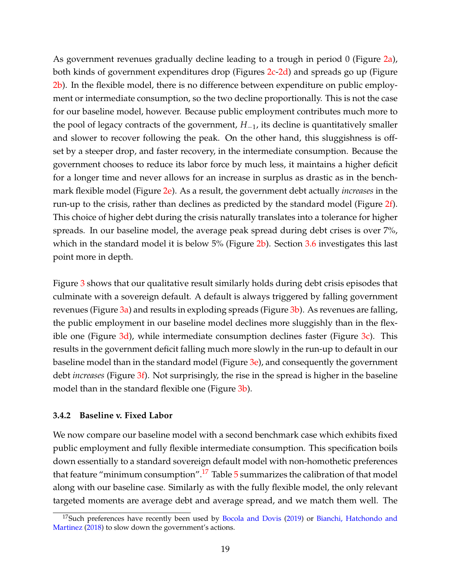As government revenues gradually decline leading to a trough in period 0 (Figure [2a\)](#page-19-1), both kinds of government expenditures drop (Figures [2c](#page-19-2)[-2d\)](#page-19-3) and spreads go up (Figure [2b\)](#page-19-4). In the flexible model, there is no difference between expenditure on public employment or intermediate consumption, so the two decline proportionally. This is not the case for our baseline model, however. Because public employment contributes much more to the pool of legacy contracts of the government, *H*−1, its decline is quantitatively smaller and slower to recover following the peak. On the other hand, this sluggishness is offset by a steeper drop, and faster recovery, in the intermediate consumption. Because the government chooses to reduce its labor force by much less, it maintains a higher deficit for a longer time and never allows for an increase in surplus as drastic as in the benchmark flexible model (Figure [2e\)](#page-19-5). As a result, the government debt actually *increases* in the run-up to the crisis, rather than declines as predicted by the standard model (Figure [2f\)](#page-19-6). This choice of higher debt during the crisis naturally translates into a tolerance for higher spreads. In our baseline model, the average peak spread during debt crises is over 7%, which in the standard model it is below 5% (Figure [2b\)](#page-19-4). Section [3.6](#page-27-0) investigates this last point more in depth.

Figure [3](#page-20-0) shows that our qualitative result similarly holds during debt crisis episodes that culminate with a sovereign default. A default is always triggered by falling government revenues (Figure [3a\)](#page-20-1) and results in exploding spreads (Figure [3b\)](#page-20-2). As revenues are falling, the public employment in our baseline model declines more sluggishly than in the flexible one (Figure  $3d$ ), while intermediate consumption declines faster (Figure  $3c$ ). This results in the government deficit falling much more slowly in the run-up to default in our baseline model than in the standard model (Figure [3e\)](#page-20-5), and consequently the government debt *increases* (Figure [3f\)](#page-20-6). Not surprisingly, the rise in the spread is higher in the baseline model than in the standard flexible one (Figure [3b\)](#page-20-2).

#### **3.4.2 Baseline v. Fixed Labor**

We now compare our baseline model with a second benchmark case which exhibits fixed public employment and fully flexible intermediate consumption. This specification boils down essentially to a standard sovereign default model with non-homothetic preferences that feature "minimum consumption".<sup>[17](#page-18-0)</sup> Table  $5$  summarizes the calibration of that model along with our baseline case. Similarly as with the fully flexible model, the only relevant targeted moments are average debt and average spread, and we match them well. The

<span id="page-18-0"></span> $17$ Such preferences have recently been used by [Bocola and Dovis](#page-35-1) [\(2019\)](#page-35-1) or [Bianchi, Hatchondo and](#page-35-2) [Martinez](#page-35-2) [\(2018\)](#page-35-2) to slow down the government's actions.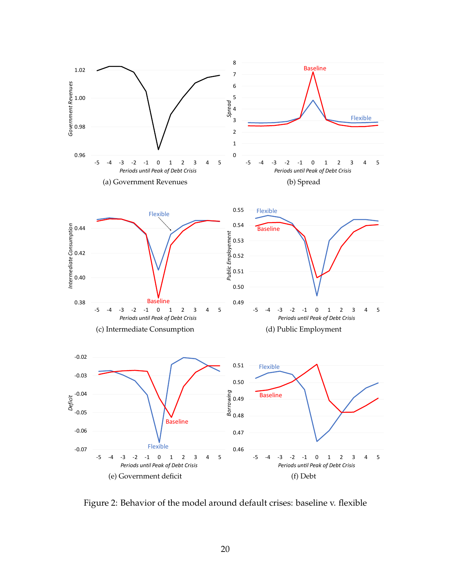<span id="page-19-4"></span><span id="page-19-2"></span><span id="page-19-1"></span><span id="page-19-0"></span>

<span id="page-19-6"></span><span id="page-19-5"></span><span id="page-19-3"></span>Figure 2: Behavior of the model around default crises: baseline v. flexible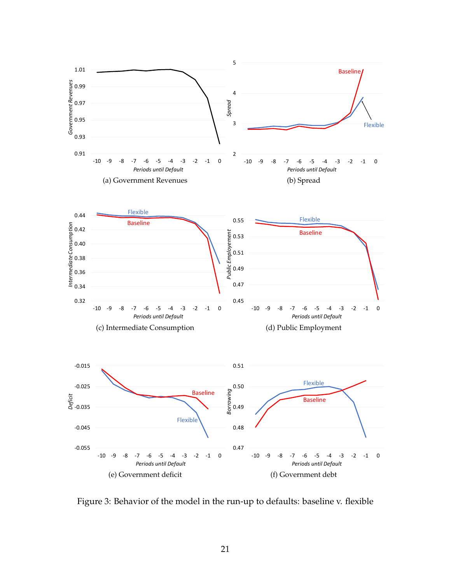<span id="page-20-4"></span><span id="page-20-2"></span><span id="page-20-1"></span><span id="page-20-0"></span>

<span id="page-20-6"></span><span id="page-20-5"></span><span id="page-20-3"></span>Figure 3: Behavior of the model in the run-up to defaults: baseline v. flexible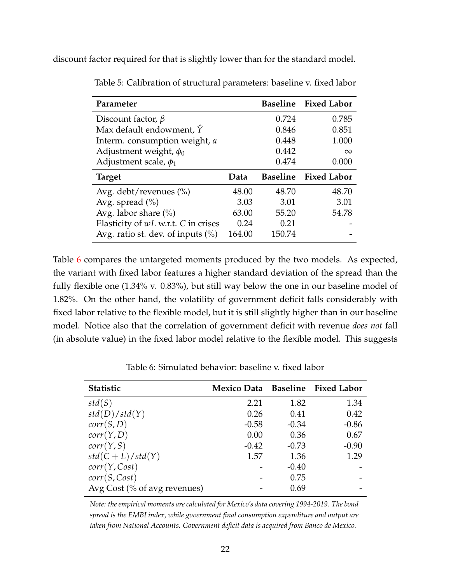<span id="page-21-0"></span>discount factor required for that is slightly lower than for the standard model.

| Parameter                               |       |                 | Baseline Fixed Labor |
|-----------------------------------------|-------|-----------------|----------------------|
| Discount factor, $\beta$                |       | 0.724           | 0.785                |
| Max default endowment, $\hat{Y}$        |       | 0.846           | 0.851                |
| Interm. consumption weight, $\alpha$    |       | 0.448           | 1.000                |
| Adjustment weight, $\phi_0$             |       | 0.442           | $\infty$             |
| Adjustment scale, $\phi_1$              |       | 0.474           | 0.000                |
|                                         |       |                 |                      |
| <b>Target</b>                           | Data  | <b>Baseline</b> | <b>Fixed Labor</b>   |
| Avg. debt/revenues $(\%)$               | 48.00 | 48.70           | 48.70                |
| Avg. spread $(\% )$                     | 3.03  | 3.01            | 3.01                 |
| Avg. labor share $(\%)$                 | 63.00 | 55.20           | 54.78                |
| Elasticity of $wL$ w.r.t. $C$ in crises | 0.24  | 0.21            |                      |

Table 5: Calibration of structural parameters: baseline v. fixed labor

Table [6](#page-21-1) compares the untargeted moments produced by the two models. As expected, the variant with fixed labor features a higher standard deviation of the spread than the fully flexible one (1.34% v. 0.83%), but still way below the one in our baseline model of 1.82%. On the other hand, the volatility of government deficit falls considerably with fixed labor relative to the flexible model, but it is still slightly higher than in our baseline model. Notice also that the correlation of government deficit with revenue *does not* fall (in absolute value) in the fixed labor model relative to the flexible model. This suggests

<span id="page-21-1"></span>

| <b>Statistic</b>             | Mexico Data Baseline Fixed Labor |         |         |
|------------------------------|----------------------------------|---------|---------|
| std(S)                       | 2.21                             | 1.82    | 1.34    |
| std(D)/std(Y)                | 0.26                             | 0.41    | 0.42    |
| corr(S, D)                   | $-0.58$                          | $-0.34$ | $-0.86$ |
| corr(Y, D)                   | 0.00                             | 0.36    | 0.67    |
| corr(Y, S)                   | $-0.42$                          | $-0.73$ | $-0.90$ |
| $std(C+L)/std(Y)$            | 1.57                             | 1.36    | 1.29    |
| corr(Y, Cost)                |                                  | $-0.40$ |         |
| corr(S, Cost)                |                                  | 0.75    |         |
| Avg Cost (% of avg revenues) |                                  | 0.69    |         |

Table 6: Simulated behavior: baseline v. fixed labor

*Note: the empirical moments are calculated for Mexico's data covering 1994-2019. The bond spread is the EMBI index, while government final consumption expenditure and output are taken from National Accounts. Government deficit data is acquired from Banco de Mexico.*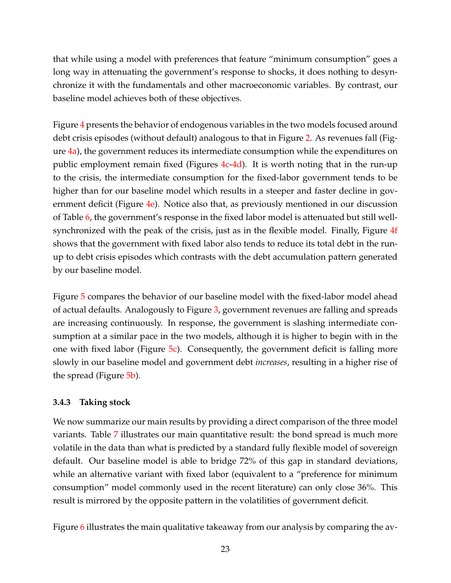that while using a model with preferences that feature "minimum consumption" goes a long way in attenuating the government's response to shocks, it does nothing to desynchronize it with the fundamentals and other macroeconomic variables. By contrast, our baseline model achieves both of these objectives.

Figure [4](#page-23-0) presents the behavior of endogenous variables in the two models focused around debt crisis episodes (without default) analogous to that in Figure [2.](#page-19-0) As revenues fall (Figure  $\frac{4a}{b}$ , the government reduces its intermediate consumption while the expenditures on public employment remain fixed (Figures  $4c-4d$  $4c-4d$ ). It is worth noting that in the run-up to the crisis, the intermediate consumption for the fixed-labor government tends to be higher than for our baseline model which results in a steeper and faster decline in gov-ernment deficit (Figure [4e\)](#page-23-4). Notice also that, as previously mentioned in our discussion of Table [6,](#page-21-1) the government's response in the fixed labor model is attenuated but still wellsynchronized with the peak of the crisis, just as in the flexible model. Finally, Figure [4f](#page-23-5) shows that the government with fixed labor also tends to reduce its total debt in the runup to debt crisis episodes which contrasts with the debt accumulation pattern generated by our baseline model.

Figure [5](#page-24-0) compares the behavior of our baseline model with the fixed-labor model ahead of actual defaults. Analogously to Figure [3,](#page-20-0) government revenues are falling and spreads are increasing continuously. In response, the government is slashing intermediate consumption at a similar pace in the two models, although it is higher to begin with in the one with fixed labor (Figure  $5c$ ). Consequently, the government deficit is falling more slowly in our baseline model and government debt *increases*, resulting in a higher rise of the spread (Figure [5b\)](#page-24-2).

#### **3.4.3 Taking stock**

We now summarize our main results by providing a direct comparison of the three model variants. Table [7](#page-25-0) illustrates our main quantitative result: the bond spread is much more volatile in the data than what is predicted by a standard fully flexible model of sovereign default. Our baseline model is able to bridge 72% of this gap in standard deviations, while an alternative variant with fixed labor (equivalent to a "preference for minimum consumption" model commonly used in the recent literature) can only close 36%. This result is mirrored by the opposite pattern in the volatilities of government deficit.

Figure [6](#page-25-1) illustrates the main qualitative takeaway from our analysis by comparing the av-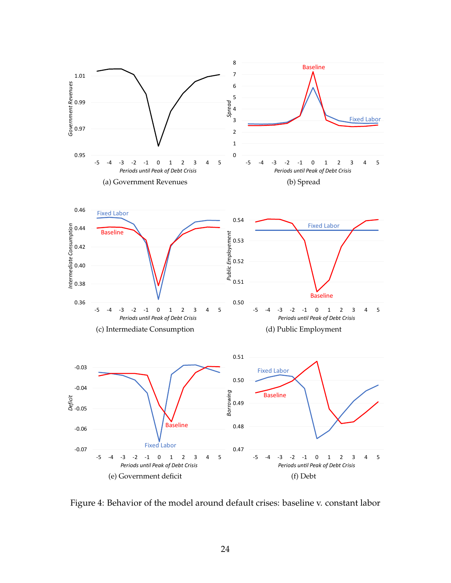<span id="page-23-6"></span><span id="page-23-2"></span><span id="page-23-1"></span><span id="page-23-0"></span>

<span id="page-23-5"></span><span id="page-23-4"></span><span id="page-23-3"></span>Figure 4: Behavior of the model around default crises: baseline v. constant labor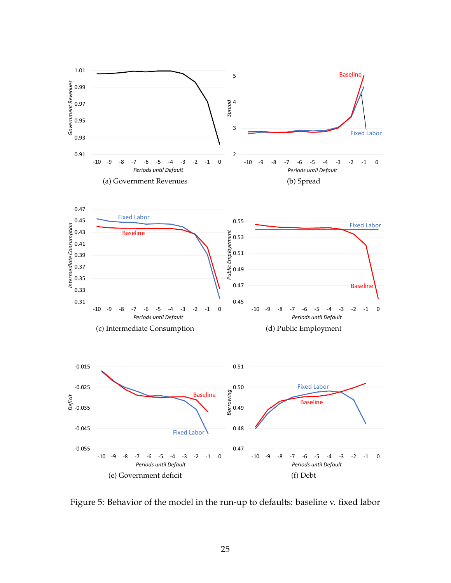<span id="page-24-2"></span><span id="page-24-1"></span><span id="page-24-0"></span>

Figure 5: Behavior of the model in the run-up to defaults: baseline v. fixed labor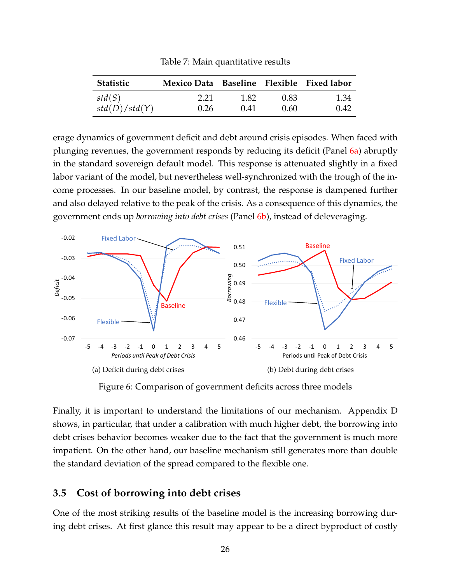<span id="page-25-0"></span>

| <b>Statistic</b> | Mexico Data Baseline Flexible Fixed labor |      |      |      |
|------------------|-------------------------------------------|------|------|------|
| std(S)           | 2.21                                      | 1.82 | 0.83 | 1.34 |
| std(D)/std(Y)    | 0.26                                      | 0.41 | 0.60 | 0.42 |

Table 7: Main quantitative results

erage dynamics of government deficit and debt around crisis episodes. When faced with plunging revenues, the government responds by reducing its deficit (Panel [6a\)](#page-25-2) abruptly in the standard sovereign default model. This response is attenuated slightly in a fixed labor variant of the model, but nevertheless well-synchronized with the trough of the income processes. In our baseline model, by contrast, the response is dampened further and also delayed relative to the peak of the crisis. As a consequence of this dynamics, the government ends up *borrowing into debt crises* (Panel [6b\)](#page-25-3), instead of deleveraging.

<span id="page-25-2"></span><span id="page-25-1"></span>

<span id="page-25-3"></span>Figure 6: Comparison of government deficits across three models

Finally, it is important to understand the limitations of our mechanism. Appendix D shows, in particular, that under a calibration with much higher debt, the borrowing into debt crises behavior becomes weaker due to the fact that the government is much more impatient. On the other hand, our baseline mechanism still generates more than double the standard deviation of the spread compared to the flexible one.

## **3.5 Cost of borrowing into debt crises**

One of the most striking results of the baseline model is the increasing borrowing during debt crises. At first glance this result may appear to be a direct byproduct of costly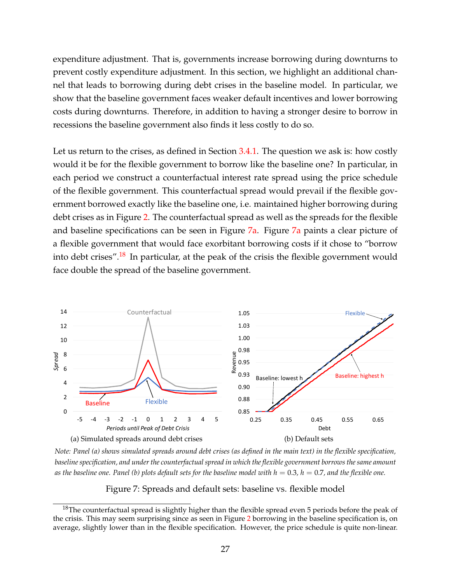expenditure adjustment. That is, governments increase borrowing during downturns to prevent costly expenditure adjustment. In this section, we highlight an additional channel that leads to borrowing during debt crises in the baseline model. In particular, we show that the baseline government faces weaker default incentives and lower borrowing costs during downturns. Therefore, in addition to having a stronger desire to borrow in recessions the baseline government also finds it less costly to do so.

Let us return to the crises, as defined in Section [3.4.1.](#page-15-0) The question we ask is: how costly would it be for the flexible government to borrow like the baseline one? In particular, in each period we construct a counterfactual interest rate spread using the price schedule of the flexible government. This counterfactual spread would prevail if the flexible government borrowed exactly like the baseline one, i.e. maintained higher borrowing during debt crises as in Figure [2.](#page-19-0) The counterfactual spread as well as the spreads for the flexible and baseline specifications can be seen in Figure [7a.](#page-26-0) Figure [7a](#page-26-0) paints a clear picture of a flexible government that would face exorbitant borrowing costs if it chose to "borrow into debt crises".<sup>[18](#page-26-1)</sup> In particular, at the peak of the crisis the flexible government would face double the spread of the baseline government.

<span id="page-26-0"></span>

*Note: Panel (a) shows simulated spreads around debt crises (as defined in the main text) in the flexible specification, baseline specification, and under the counterfactual spread in which the flexible government borrows the same amount* as the baseline one. Panel (b) plots default sets for the baseline model with  $h = 0.3$ ,  $h = 0.7$ , and the flexible one.

<span id="page-26-2"></span>Figure 7: Spreads and default sets: baseline vs. flexible model

<span id="page-26-1"></span> $18$ The counterfactual spread is slightly higher than the flexible spread even 5 periods before the peak of the crisis. This may seem surprising since as seen in Figure [2](#page-19-0) borrowing in the baseline specification is, on average, slightly lower than in the flexible specification. However, the price schedule is quite non-linear.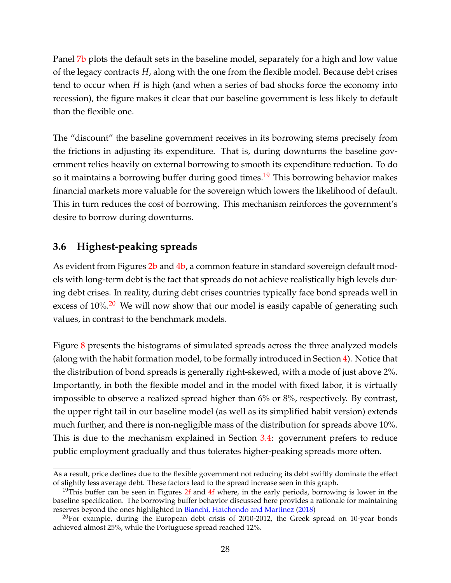Panel [7b](#page-26-2) plots the default sets in the baseline model, separately for a high and low value of the legacy contracts *H*, along with the one from the flexible model. Because debt crises tend to occur when *H* is high (and when a series of bad shocks force the economy into recession), the figure makes it clear that our baseline government is less likely to default than the flexible one.

The "discount" the baseline government receives in its borrowing stems precisely from the frictions in adjusting its expenditure. That is, during downturns the baseline government relies heavily on external borrowing to smooth its expenditure reduction. To do so it maintains a borrowing buffer during good times.<sup>[19](#page-27-1)</sup> This borrowing behavior makes financial markets more valuable for the sovereign which lowers the likelihood of default. This in turn reduces the cost of borrowing. This mechanism reinforces the government's desire to borrow during downturns.

# <span id="page-27-0"></span>**3.6 Highest-peaking spreads**

As evident from Figures [2b](#page-19-4) and [4b,](#page-23-6) a common feature in standard sovereign default models with long-term debt is the fact that spreads do not achieve realistically high levels during debt crises. In reality, during debt crises countries typically face bond spreads well in excess of  $10\%$ .<sup>[20](#page-27-2)</sup> We will now show that our model is easily capable of generating such values, in contrast to the benchmark models.

Figure [8](#page-28-1) presents the histograms of simulated spreads across the three analyzed models (along with the habit formation model, to be formally introduced in Section [4\)](#page-30-0). Notice that the distribution of bond spreads is generally right-skewed, with a mode of just above 2%. Importantly, in both the flexible model and in the model with fixed labor, it is virtually impossible to observe a realized spread higher than 6% or 8%, respectively. By contrast, the upper right tail in our baseline model (as well as its simplified habit version) extends much further, and there is non-negligible mass of the distribution for spreads above 10%. This is due to the mechanism explained in Section [3.4:](#page-15-1) government prefers to reduce public employment gradually and thus tolerates higher-peaking spreads more often.

As a result, price declines due to the flexible government not reducing its debt swiftly dominate the effect of slightly less average debt. These factors lead to the spread increase seen in this graph.

<span id="page-27-1"></span><sup>&</sup>lt;sup>19</sup>This buffer can be seen in Figures [2f](#page-19-6) and [4f](#page-23-5) where, in the early periods, borrowing is lower in the baseline specification. The borrowing buffer behavior discussed here provides a rationale for maintaining reserves beyond the ones highlighted in [Bianchi, Hatchondo and Martinez](#page-35-2) [\(2018\)](#page-35-2)

<span id="page-27-2"></span> $^{20}$ For example, during the European debt crisis of 2010-2012, the Greek spread on 10-year bonds achieved almost 25%, while the Portuguese spread reached 12%.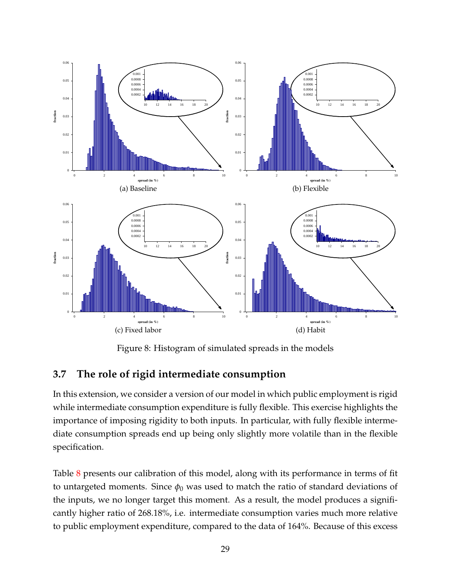<span id="page-28-1"></span>

<span id="page-28-2"></span>Figure 8: Histogram of simulated spreads in the models

# <span id="page-28-0"></span>**3.7 The role of rigid intermediate consumption**

In this extension, we consider a version of our model in which public employment is rigid while intermediate consumption expenditure is fully flexible. This exercise highlights the importance of imposing rigidity to both inputs. In particular, with fully flexible intermediate consumption spreads end up being only slightly more volatile than in the flexible specification.

Table [8](#page-29-0) presents our calibration of this model, along with its performance in terms of fit to untargeted moments. Since  $\phi_0$  was used to match the ratio of standard deviations of the inputs, we no longer target this moment. As a result, the model produces a significantly higher ratio of 268.18%, i.e. intermediate consumption varies much more relative to public employment expenditure, compared to the data of 164%. Because of this excess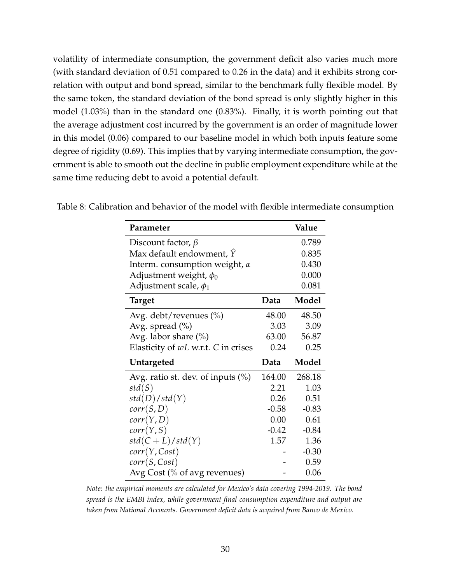volatility of intermediate consumption, the government deficit also varies much more (with standard deviation of 0.51 compared to 0.26 in the data) and it exhibits strong correlation with output and bond spread, similar to the benchmark fully flexible model. By the same token, the standard deviation of the bond spread is only slightly higher in this model (1.03%) than in the standard one (0.83%). Finally, it is worth pointing out that the average adjustment cost incurred by the government is an order of magnitude lower in this model (0.06) compared to our baseline model in which both inputs feature some degree of rigidity (0.69). This implies that by varying intermediate consumption, the government is able to smooth out the decline in public employment expenditure while at the same time reducing debt to avoid a potential default.

| Parameter                               |          | Value   |
|-----------------------------------------|----------|---------|
| Discount factor, $\beta$                |          | 0.789   |
| Max default endowment, $\hat{Y}$        |          | 0.835   |
| Interm. consumption weight, $\alpha$    |          | 0.430   |
| Adjustment weight, $\phi_0$             |          | 0.000   |
| Adjustment scale, $\phi_1$              |          | 0.081   |
| <b>Target</b>                           | Data     | Model   |
| Avg. debt/revenues (%)                  | 48.00    | 48.50   |
| Avg. spread $(\%)$                      | 3.03     | 3.09    |
| Avg. labor share $(\%)$                 | 63.00    | 56.87   |
| Elasticity of $wL$ w.r.t. $C$ in crises | 0.24     | 0.25    |
|                                         |          |         |
| Untargeted                              | Data     | Model   |
| Avg. ratio st. dev. of inputs $(\%)$    | 164.00   | 268.18  |
| std(S)                                  | 2.21     | 1.03    |
| std(D)/std(Y)                           | 0.26     | 0.51    |
| corr(S, D)                              | $-0.58$  | $-0.83$ |
| corr(Y, D)                              | $0.00\,$ | 0.61    |
| corr(Y, S)                              | $-0.42$  | $-0.84$ |
| $std(C+L)/std(Y)$                       | 1.57     | 1.36    |
| corr(Y, Cost)                           |          | $-0.30$ |
| corr(S, Cost)                           |          | 0.59    |

<span id="page-29-0"></span>Table 8: Calibration and behavior of the model with flexible intermediate consumption

*Note: the empirical moments are calculated for Mexico's data covering 1994-2019. The bond spread is the EMBI index, while government final consumption expenditure and output are taken from National Accounts. Government deficit data is acquired from Banco de Mexico.*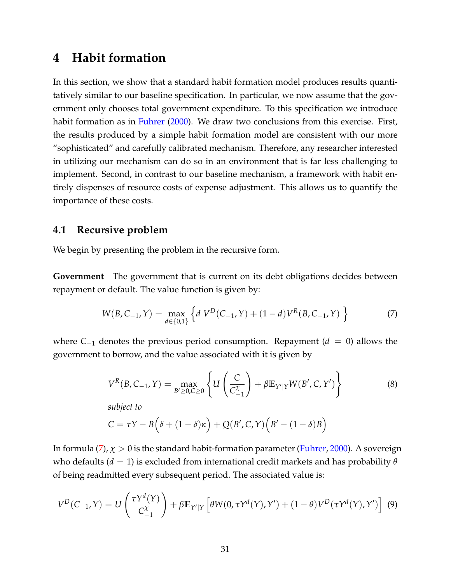# <span id="page-30-0"></span>**4 Habit formation**

In this section, we show that a standard habit formation model produces results quantitatively similar to our baseline specification. In particular, we now assume that the government only chooses total government expenditure. To this specification we introduce habit formation as in [Fuhrer](#page-36-1) [\(2000\)](#page-36-1). We draw two conclusions from this exercise. First, the results produced by a simple habit formation model are consistent with our more "sophisticated" and carefully calibrated mechanism. Therefore, any researcher interested in utilizing our mechanism can do so in an environment that is far less challenging to implement. Second, in contrast to our baseline mechanism, a framework with habit entirely dispenses of resource costs of expense adjustment. This allows us to quantify the importance of these costs.

### **4.1 Recursive problem**

We begin by presenting the problem in the recursive form.

**Government** The government that is current on its debt obligations decides between repayment or default. The value function is given by:

<span id="page-30-1"></span>
$$
W(B, C_{-1}, Y) = \max_{d \in \{0, 1\}} \left\{ d \ V^D(C_{-1}, Y) + (1 - d) V^R(B, C_{-1}, Y) \right\}
$$
 (7)

where *C*−<sup>1</sup> denotes the previous period consumption. Repayment (*d* = 0) allows the government to borrow, and the value associated with it is given by

$$
V^{R}(B, C_{-1}, Y) = \max_{B' \ge 0, C \ge 0} \left\{ U \left( \frac{C}{C_{-1}^{X}} \right) + \beta \mathbb{E}_{Y'|Y} W(B', C, Y') \right\}
$$
(8)

*subject to*

$$
C = \tau Y - B(\delta + (1 - \delta)\kappa) + Q(B', C, Y)(B' - (1 - \delta)B)
$$

In formula [\(7\)](#page-30-1),  $\chi > 0$  is the standard habit-formation parameter [\(Fuhrer,](#page-36-1) [2000\)](#page-36-1). A sovereign who defaults (*d* = 1) is excluded from international credit markets and has probability *θ* of being readmitted every subsequent period. The associated value is:

$$
V^{D}(C_{-1}, Y) = U\left(\frac{\tau Y^{d}(Y)}{C_{-1}^{X}}\right) + \beta \mathbb{E}_{Y'|Y}\left[\theta W(0, \tau Y^{d}(Y), Y') + (1 - \theta)V^{D}(\tau Y^{d}(Y), Y')\right] \tag{9}
$$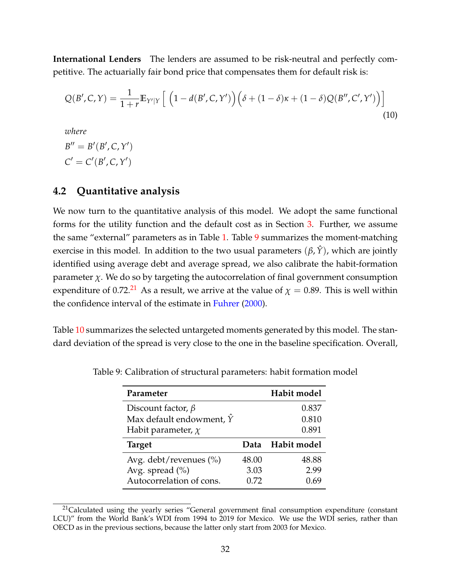**International Lenders** The lenders are assumed to be risk-neutral and perfectly competitive. The actuarially fair bond price that compensates them for default risk is:

$$
Q(B', C, Y) = \frac{1}{1+r} \mathbb{E}_{Y'|Y} \left[ \left( 1 - d(B', C, Y') \right) \left( \delta + (1 - \delta) \kappa + (1 - \delta) Q(B'', C', Y') \right) \right]
$$
\n(10)

*where*

 $B'' = B'(B', C, Y')$  $C' = C'(B', C, Y')$ 

## **4.2 Quantitative analysis**

We now turn to the quantitative analysis of this model. We adopt the same functional forms for the utility function and the default cost as in Section [3.](#page-10-0) Further, we assume the same "external" parameters as in Table [1.](#page-10-1) Table [9](#page-31-0) summarizes the moment-matching exercise in this model. In addition to the two usual parameters  $(\beta, \hat{Y})$ , which are jointly identified using average debt and average spread, we also calibrate the habit-formation parameter *χ*. We do so by targeting the autocorrelation of final government consumption expenditure of 0.72.<sup>[21](#page-31-1)</sup> As a result, we arrive at the value of  $\chi = 0.89$ . This is well within the confidence interval of the estimate in [Fuhrer](#page-36-1) [\(2000\)](#page-36-1).

<span id="page-31-0"></span>Table [10](#page-32-1) summarizes the selected untargeted moments generated by this model. The standard deviation of the spread is very close to the one in the baseline specification. Overall,

| Parameter                        |       | Habit model |
|----------------------------------|-------|-------------|
| Discount factor, $\beta$         |       | 0.837       |
| Max default endowment, $\hat{Y}$ |       | 0.810       |
| Habit parameter, $\chi$          |       | 0.891       |
|                                  |       |             |
| <b>Target</b>                    | Data  | Habit model |
| Avg. debt/revenues $(\% )$       | 48.00 | 48.88       |
| Avg. spread $(\%)$               | 3.03  | 2.99        |

Table 9: Calibration of structural parameters: habit formation model

<span id="page-31-1"></span><sup>&</sup>lt;sup>21</sup>Calculated using the yearly series "General government final consumption expenditure (constant LCU)" from the World Bank's WDI from 1994 to 2019 for Mexico. We use the WDI series, rather than OECD as in the previous sections, because the latter only start from 2003 for Mexico.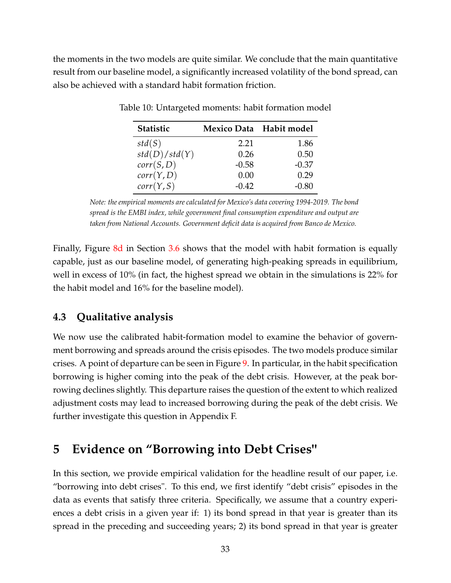<span id="page-32-1"></span>the moments in the two models are quite similar. We conclude that the main quantitative result from our baseline model, a significantly increased volatility of the bond spread, can also be achieved with a standard habit formation friction.

| <b>Statistic</b> |         | Mexico Data Habit model |
|------------------|---------|-------------------------|
| std(S)           | 2.21    | 1.86                    |
| std(D)/std(Y)    | 0.26    | 0.50                    |
| corr(S, D)       | $-0.58$ | $-0.37$                 |
| corr(Y, D)       | 0.00    | 0.29                    |
| corr(Y, S)       | $-0.42$ | $-0.80$                 |

Table 10: Untargeted moments: habit formation model

*Note: the empirical moments are calculated for Mexico's data covering 1994-2019. The bond spread is the EMBI index, while government final consumption expenditure and output are taken from National Accounts. Government deficit data is acquired from Banco de Mexico.*

Finally, Figure [8d](#page-28-2) in Section [3.6](#page-27-0) shows that the model with habit formation is equally capable, just as our baseline model, of generating high-peaking spreads in equilibrium, well in excess of 10% (in fact, the highest spread we obtain in the simulations is 22% for the habit model and 16% for the baseline model).

## **4.3 Qualitative analysis**

We now use the calibrated habit-formation model to examine the behavior of government borrowing and spreads around the crisis episodes. The two models produce similar crises. A point of departure can be seen in Figure [9.](#page-33-1) In particular, in the habit specification borrowing is higher coming into the peak of the debt crisis. However, at the peak borrowing declines slightly. This departure raises the question of the extent to which realized adjustment costs may lead to increased borrowing during the peak of the debt crisis. We further investigate this question in Appendix F.

# <span id="page-32-0"></span>**5 Evidence on "Borrowing into Debt Crises"**

In this section, we provide empirical validation for the headline result of our paper, i.e. "borrowing into debt crises". To this end, we first identify "debt crisis" episodes in the data as events that satisfy three criteria. Specifically, we assume that a country experiences a debt crisis in a given year if: 1) its bond spread in that year is greater than its spread in the preceding and succeeding years; 2) its bond spread in that year is greater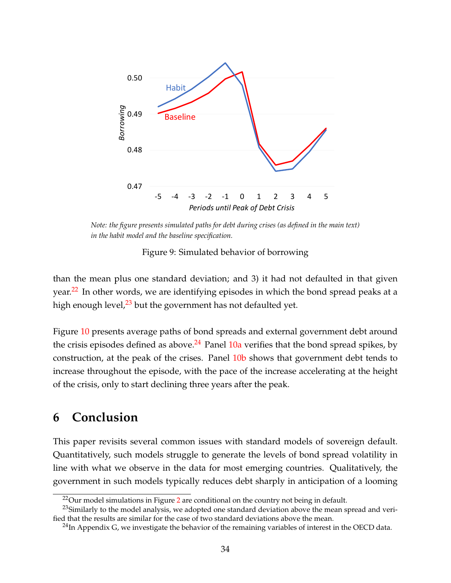<span id="page-33-1"></span>

*Note: the figure presents simulated paths for debt during crises (as defined in the main text) in the habit model and the baseline specification.*

Figure 9: Simulated behavior of borrowing

than the mean plus one standard deviation; and 3) it had not defaulted in that given year.<sup>[22](#page-33-2)</sup> In other words, we are identifying episodes in which the bond spread peaks at a high enough level, $^{23}$  $^{23}$  $^{23}$  but the government has not defaulted yet.

Figure [10](#page-34-1) presents average paths of bond spreads and external government debt around the crisis episodes defined as above.<sup>[24](#page-33-4)</sup> Panel  $10a$  verifies that the bond spread spikes, by construction, at the peak of the crises. Panel [10b](#page-34-3) shows that government debt tends to increase throughout the episode, with the pace of the increase accelerating at the height of the crisis, only to start declining three years after the peak.

# <span id="page-33-0"></span>**6 Conclusion**

This paper revisits several common issues with standard models of sovereign default. Quantitatively, such models struggle to generate the levels of bond spread volatility in line with what we observe in the data for most emerging countries. Qualitatively, the government in such models typically reduces debt sharply in anticipation of a looming

<span id="page-33-3"></span><span id="page-33-2"></span> $22$  $22$ Our model simulations in Figure 2 are conditional on the country not being in default.

 $^{23}$ Similarly to the model analysis, we adopted one standard deviation above the mean spread and verified that the results are similar for the case of two standard deviations above the mean.

<span id="page-33-4"></span> $^{24}$ In Appendix G, we investigate the behavior of the remaining variables of interest in the OECD data.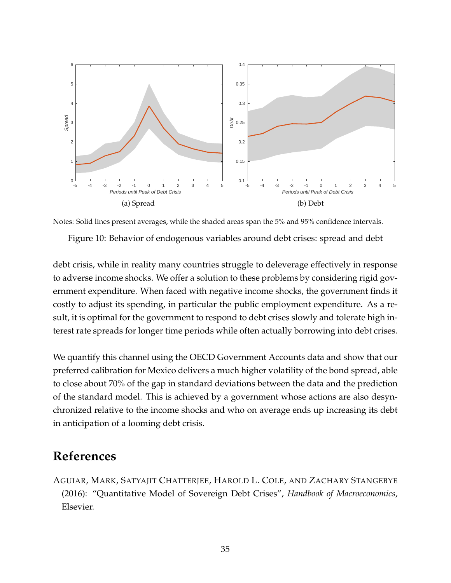<span id="page-34-2"></span><span id="page-34-1"></span>

Notes: Solid lines present averages, while the shaded areas span the 5% and 95% confidence intervals.

<span id="page-34-3"></span>Figure 10: Behavior of endogenous variables around debt crises: spread and debt

debt crisis, while in reality many countries struggle to deleverage effectively in response to adverse income shocks. We offer a solution to these problems by considering rigid government expenditure. When faced with negative income shocks, the government finds it costly to adjust its spending, in particular the public employment expenditure. As a result, it is optimal for the government to respond to debt crises slowly and tolerate high interest rate spreads for longer time periods while often actually borrowing into debt crises.

We quantify this channel using the OECD Government Accounts data and show that our preferred calibration for Mexico delivers a much higher volatility of the bond spread, able to close about 70% of the gap in standard deviations between the data and the prediction of the standard model. This is achieved by a government whose actions are also desynchronized relative to the income shocks and who on average ends up increasing its debt in anticipation of a looming debt crisis.

# **References**

<span id="page-34-0"></span>AGUIAR, MARK, SATYAJIT CHATTERJEE, HAROLD L. COLE, AND ZACHARY STANGEBYE (2016): "Quantitative Model of Sovereign Debt Crises", *Handbook of Macroeconomics*, Elsevier.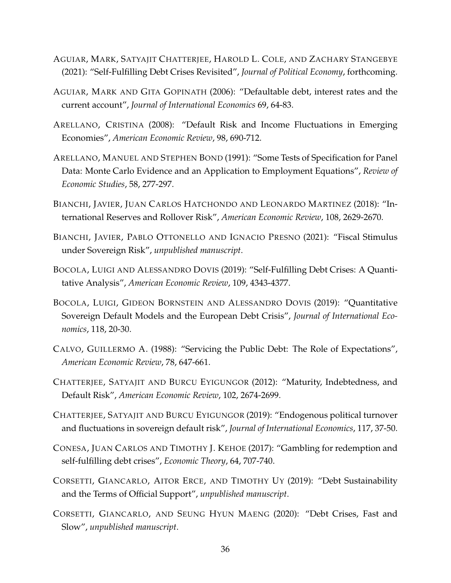- <span id="page-35-6"></span>AGUIAR, MARK, SATYAJIT CHATTERJEE, HAROLD L. COLE, AND ZACHARY STANGEBYE (2021): "Self-Fulfilling Debt Crises Revisited", *Journal of Political Economy*, forthcoming.
- <span id="page-35-3"></span>AGUIAR, MARK AND GITA GOPINATH (2006): "Defaultable debt, interest rates and the current account", *Journal of International Economics* 69, 64-83.
- <span id="page-35-4"></span>ARELLANO, CRISTINA (2008): "Default Risk and Income Fluctuations in Emerging Economies", *American Economic Review*, 98, 690-712.
- <span id="page-35-13"></span>ARELLANO, MANUEL AND STEPHEN BOND (1991): "Some Tests of Specification for Panel Data: Monte Carlo Evidence and an Application to Employment Equations", *Review of Economic Studies*, 58, 277-297.
- <span id="page-35-2"></span>BIANCHI, JAVIER, JUAN CARLOS HATCHONDO AND LEONARDO MARTINEZ (2018): "International Reserves and Rollover Risk", *American Economic Review*, 108, 2629-2670.
- <span id="page-35-12"></span>BIANCHI, JAVIER, PABLO OTTONELLO AND IGNACIO PRESNO (2021): "Fiscal Stimulus under Sovereign Risk", *unpublished manuscript*.
- <span id="page-35-1"></span>BOCOLA, LUIGI AND ALESSANDRO DOVIS (2019): "Self-Fulfilling Debt Crises: A Quantitative Analysis", *American Economic Review*, 109, 4343-4377.
- <span id="page-35-5"></span>BOCOLA, LUIGI, GIDEON BORNSTEIN AND ALESSANDRO DOVIS (2019): "Quantitative Sovereign Default Models and the European Debt Crisis", *Journal of International Economics*, 118, 20-30.
- <span id="page-35-9"></span>CALVO, GUILLERMO A. (1988): "Servicing the Public Debt: The Role of Expectations", *American Economic Review*, 78, 647-661.
- <span id="page-35-0"></span>CHATTERJEE, SATYAJIT AND BURCU EYIGUNGOR (2012): "Maturity, Indebtedness, and Default Risk", *American Economic Review*, 102, 2674-2699.
- <span id="page-35-7"></span>CHATTERJEE, SATYAJIT AND BURCU EYIGUNGOR (2019): "Endogenous political turnover and fluctuations in sovereign default risk", *Journal of International Economics*, 117, 37-50.
- <span id="page-35-8"></span>CONESA, JUAN CARLOS AND TIMOTHY J. KEHOE (2017): "Gambling for redemption and self-fulfilling debt crises", *Economic Theory*, 64, 707-740.
- <span id="page-35-11"></span>CORSETTI, GIANCARLO, AITOR ERCE, AND TIMOTHY UY (2019): "Debt Sustainability and the Terms of Official Support", *unpublished manuscript*.
- <span id="page-35-10"></span>CORSETTI, GIANCARLO, AND SEUNG HYUN MAENG (2020): "Debt Crises, Fast and Slow", *unpublished manuscript*.